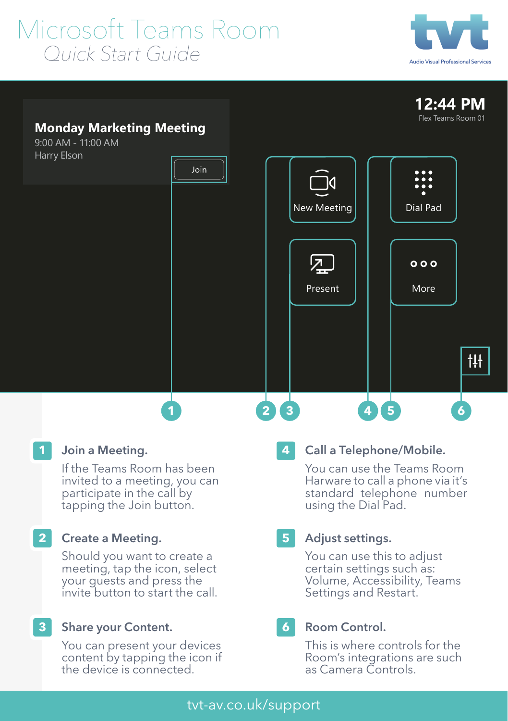# Microsoft Teams Room<br>Quick Start Guide





## **Monday Marketing Meeting**

9:00 AM - 11:00 AM



## Join a Meeting.

If the Teams Room has been invited to a meeting, you can participate in the call by tapping the Join button.

#### Create a Meeting. **2**

Should you want to create a meeting, tap the icon, select your guests and press the invite button to start the call.

#### Share your Content. **3**

You can present your devices content by tapping the icon if the device is connected.

### **4**

## Call a Telephone/Mobile.

You can use the Teams Room Harware to call a phone via it's standard telephone number using the Dial Pad.

#### Adjust settings. **5**

You can use this to adjust certain settings such as: Volume, Accessibility, Teams Settings and Restart.

#### Room Control. **6**

This is where controls for the Room's integrations are such as Camera Controls.

## tvt-av.co.uk/support